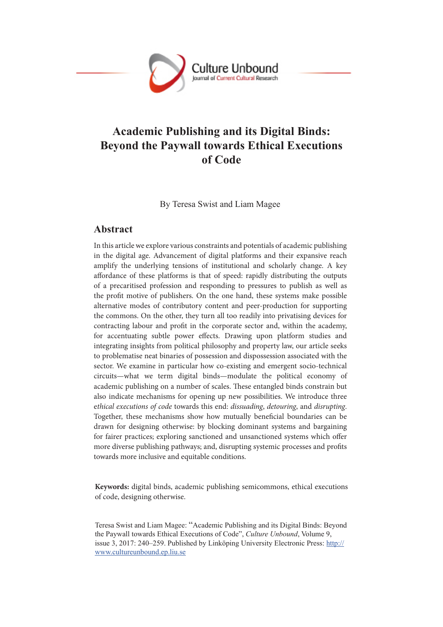

# **Academic Publishing and its Digital Binds: Beyond the Paywall towards Ethical Executions of Code**

By Teresa Swist and Liam Magee

# **Abstract**

In this article we explore various constraints and potentials of academic publishing in the digital age. Advancement of digital platforms and their expansive reach amplify the underlying tensions of institutional and scholarly change. A key affordance of these platforms is that of speed: rapidly distributing the outputs of a precaritised profession and responding to pressures to publish as well as the profit motive of publishers. On the one hand, these systems make possible alternative modes of contributory content and peer-production for supporting the commons. On the other, they turn all too readily into privatising devices for contracting labour and profit in the corporate sector and, within the academy, for accentuating subtle power effects. Drawing upon platform studies and integrating insights from political philosophy and property law, our article seeks to problematise neat binaries of possession and dispossession associated with the sector. We examine in particular how co-existing and emergent socio-technical circuits—what we term digital binds—modulate the political economy of academic publishing on a number of scales. These entangled binds constrain but also indicate mechanisms for opening up new possibilities. We introduce three e*thical executions of code* towards this end: *dissuading*, *detouring*, and *disrupting*. Together, these mechanisms show how mutually beneficial boundaries can be drawn for designing otherwise: by blocking dominant systems and bargaining for fairer practices; exploring sanctioned and unsanctioned systems which offer more diverse publishing pathways; and, disrupting systemic processes and profits towards more inclusive and equitable conditions.

**Keywords:** digital binds, academic publishing semicommons, ethical executions of code, designing otherwise.

Teresa Swist and Liam Magee: "Academic Publishing and its Digital Binds: Beyond the Paywall towards Ethical Executions of Code", *Culture Unbound*, Volume 9, issue 3, 2017: 240–259. Published by Linköping University Electronic Press: http:// www.cultureunbound.ep.liu.se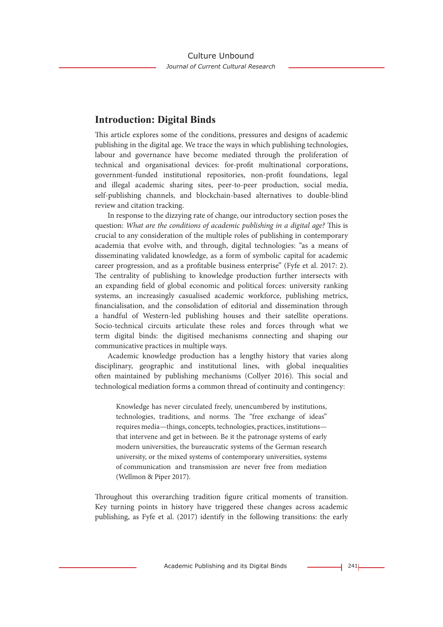# **Introduction: Digital Binds**

This article explores some of the conditions, pressures and designs of academic publishing in the digital age. We trace the ways in which publishing technologies, labour and governance have become mediated through the proliferation of technical and organisational devices: for-profit multinational corporations, government-funded institutional repositories, non-profit foundations, legal and illegal academic sharing sites, peer-to-peer production, social media, self-publishing channels, and blockchain-based alternatives to double-blind review and citation tracking.

In response to the dizzying rate of change, our introductory section poses the question: *What are the conditions of academic publishing in a digital age?* This is crucial to any consideration of the multiple roles of publishing in contemporary academia that evolve with, and through, digital technologies: "as a means of disseminating validated knowledge, as a form of symbolic capital for academic career progression, and as a profitable business enterprise" (Fyfe et al. 2017: 2). The centrality of publishing to knowledge production further intersects with an expanding field of global economic and political forces: university ranking systems, an increasingly casualised academic workforce, publishing metrics, financialisation, and the consolidation of editorial and dissemination through a handful of Western-led publishing houses and their satellite operations. Socio-technical circuits articulate these roles and forces through what we term digital binds: the digitised mechanisms connecting and shaping our communicative practices in multiple ways.

Academic knowledge production has a lengthy history that varies along disciplinary, geographic and institutional lines, with global inequalities often maintained by publishing mechanisms (Collyer 2016). This social and technological mediation forms a common thread of continuity and contingency:

Knowledge has never circulated freely, unencumbered by institutions, technologies, traditions, and norms. The "free exchange of ideas" requires media—things, concepts, technologies, practices, institutions that intervene and get in between. Be it the patronage systems of early modern universities, the bureaucratic systems of the German research university, or the mixed systems of contemporary universities, systems of communication and transmission are never free from mediation (Wellmon & Piper 2017).

Throughout this overarching tradition figure critical moments of transition. Key turning points in history have triggered these changes across academic publishing, as Fyfe et al. (2017) identify in the following transitions: the early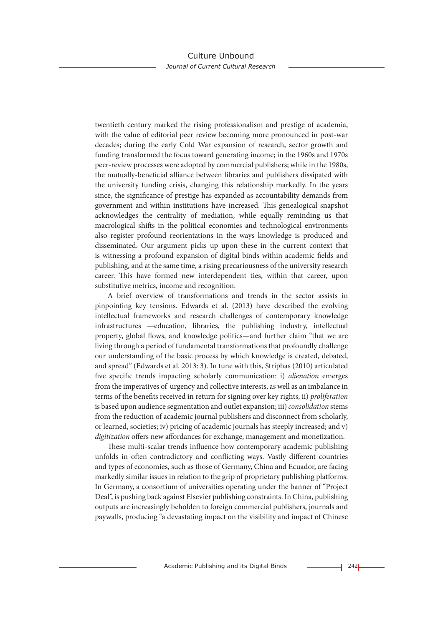twentieth century marked the rising professionalism and prestige of academia, with the value of editorial peer review becoming more pronounced in post-war decades; during the early Cold War expansion of research, sector growth and funding transformed the focus toward generating income; in the 1960s and 1970s peer-review processes were adopted by commercial publishers; while in the 1980s, the mutually-beneficial alliance between libraries and publishers dissipated with the university funding crisis, changing this relationship markedly. In the years since, the significance of prestige has expanded as accountability demands from government and within institutions have increased. This genealogical snapshot acknowledges the centrality of mediation, while equally reminding us that macrological shifts in the political economies and technological environments also register profound reorientations in the ways knowledge is produced and disseminated. Our argument picks up upon these in the current context that is witnessing a profound expansion of digital binds within academic fields and publishing, and at the same time, a rising precariousness of the university research career. This have formed new interdependent ties, within that career, upon substitutive metrics, income and recognition.

A brief overview of transformations and trends in the sector assists in pinpointing key tensions. Edwards et al. (2013) have described the evolving intellectual frameworks and research challenges of contemporary knowledge infrastructures —education, libraries, the publishing industry, intellectual property, global flows, and knowledge politics—and further claim "that we are living through a period of fundamental transformations that profoundly challenge our understanding of the basic process by which knowledge is created, debated, and spread" (Edwards et al. 2013: 3). In tune with this, Striphas (2010) articulated five specific trends impacting scholarly communication: i) *alienation* emerges from the imperatives of urgency and collective interests, as well as an imbalance in terms of the benefits received in return for signing over key rights; ii) *proliferation* is based upon audience segmentation and outlet expansion; iii) *consolidation* stems from the reduction of academic journal publishers and disconnect from scholarly, or learned, societies; iv) pricing of academic journals has steeply increased; and v) *digitization* offers new affordances for exchange, management and monetization.

These multi-scalar trends influence how contemporary academic publishing unfolds in often contradictory and conflicting ways. Vastly different countries and types of economies, such as those of Germany, China and Ecuador, are facing markedly similar issues in relation to the grip of proprietary publishing platforms. In Germany, a consortium of universities operating under the banner of "Project Deal", is pushing back against Elsevier publishing constraints. In China, publishing outputs are increasingly beholden to foreign commercial publishers, journals and paywalls, producing "a devastating impact on the visibility and impact of Chinese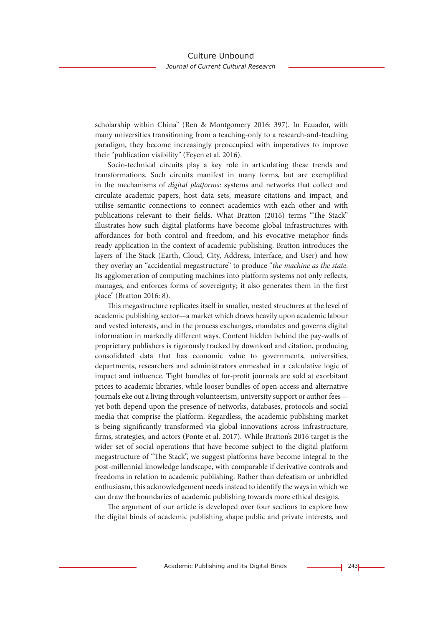scholarship within China" (Ren & Montgomery 2016: 397). In Ecuador, with many universities transitioning from a teaching-only to a research-and-teaching paradigm, they become increasingly preoccupied with imperatives to improve their "publication visibility" (Feyen et al. 2016).

Socio-technical circuits play a key role in articulating these trends and transformations. Such circuits manifest in many forms, but are exemplified in the mechanisms of *digital platforms*: systems and networks that collect and circulate academic papers, host data sets, measure citations and impact, and utilise semantic connections to connect academics with each other and with publications relevant to their fields. What Bratton (2016) terms "The Stack" illustrates how such digital platforms have become global infrastructures with affordances for both control and freedom, and his evocative metaphor finds ready application in the context of academic publishing. Bratton introduces the layers of The Stack (Earth, Cloud, City, Address, Interface, and User) and how they overlay an "accidential megastructure" to produce "*the machine as the state*. Its agglomeration of computing machines into platform systems not only reflects, manages, and enforces forms of sovereignty; it also generates them in the first place" (Bratton 2016: 8).

This megastructure replicates itself in smaller, nested structures at the level of academic publishing sector—a market which draws heavily upon academic labour and vested interests, and in the process exchanges, mandates and governs digital information in markedly different ways. Content hidden behind the pay-walls of proprietary publishers is rigorously tracked by download and citation, producing consolidated data that has economic value to governments, universities, departments, researchers and administrators enmeshed in a calculative logic of impact and influence. Tight bundles of for-profit journals are sold at exorbitant prices to academic libraries, while looser bundles of open-access and alternative journals eke out a living through volunteerism, university support or author fees yet both depend upon the presence of networks, databases, protocols and social media that comprise the platform. Regardless, the academic publishing market is being significantly transformed via global innovations across infrastructure, firms, strategies, and actors (Ponte et al. 2017). While Bratton's 2016 target is the wider set of social operations that have become subject to the digital platform megastructure of "The Stack", we suggest platforms have become integral to the post-millennial knowledge landscape, with comparable if derivative controls and freedoms in relation to academic publishing. Rather than defeatism or unbridled enthusiasm, this acknowledgement needs instead to identify the ways in which we can draw the boundaries of academic publishing towards more ethical designs.

The argument of our article is developed over four sections to explore how the digital binds of academic publishing shape public and private interests, and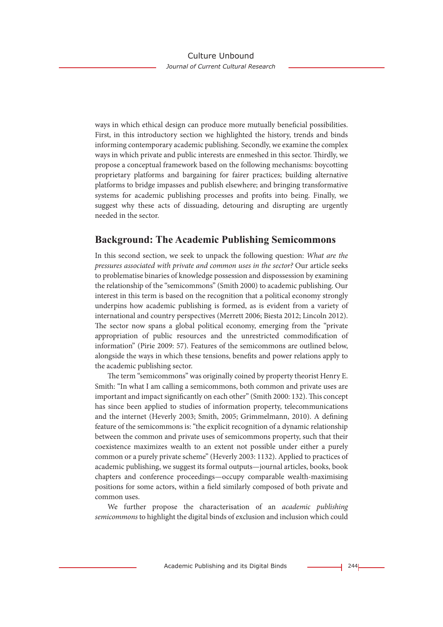ways in which ethical design can produce more mutually beneficial possibilities. First, in this introductory section we highlighted the history, trends and binds informing contemporary academic publishing. Secondly, we examine the complex ways in which private and public interests are enmeshed in this sector. Thirdly, we propose a conceptual framework based on the following mechanisms: boycotting proprietary platforms and bargaining for fairer practices; building alternative platforms to bridge impasses and publish elsewhere; and bringing transformative systems for academic publishing processes and profits into being. Finally, we suggest why these acts of dissuading, detouring and disrupting are urgently needed in the sector.

# **Background: The Academic Publishing Semicommons**

In this second section, we seek to unpack the following question: *What are the pressures associated with private and common uses in the sector?* Our article seeks to problematise binaries of knowledge possession and dispossession by examining the relationship of the "semicommons" (Smith 2000) to academic publishing. Our interest in this term is based on the recognition that a political economy strongly underpins how academic publishing is formed, as is evident from a variety of international and country perspectives (Merrett 2006; Biesta 2012; Lincoln 2012). The sector now spans a global political economy, emerging from the "private appropriation of public resources and the unrestricted commodification of information" (Pirie 2009: 57). Features of the semicommons are outlined below, alongside the ways in which these tensions, benefits and power relations apply to the academic publishing sector.

The term "semicommons" was originally coined by property theorist Henry E. Smith: "In what I am calling a semicommons, both common and private uses are important and impact significantly on each other" (Smith 2000: 132). This concept has since been applied to studies of information property, telecommunications and the internet (Heverly 2003; Smith, 2005; Grimmelmann, 2010). A defining feature of the semicommons is: "the explicit recognition of a dynamic relationship between the common and private uses of semicommons property, such that their coexistence maximizes wealth to an extent not possible under either a purely common or a purely private scheme" (Heverly 2003: 1132). Applied to practices of academic publishing, we suggest its formal outputs—journal articles, books, book chapters and conference proceedings—occupy comparable wealth-maximising positions for some actors, within a field similarly composed of both private and common uses.

We further propose the characterisation of an *academic publishing semicommons* to highlight the digital binds of exclusion and inclusion which could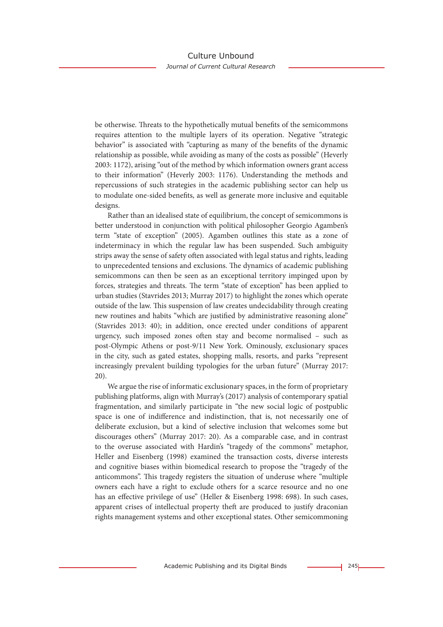be otherwise. Threats to the hypothetically mutual benefits of the semicommons requires attention to the multiple layers of its operation. Negative "strategic behavior" is associated with "capturing as many of the benefits of the dynamic relationship as possible, while avoiding as many of the costs as possible" (Heverly 2003: 1172), arising "out of the method by which information owners grant access to their information" (Heverly 2003: 1176). Understanding the methods and repercussions of such strategies in the academic publishing sector can help us to modulate one-sided benefits, as well as generate more inclusive and equitable designs.

Rather than an idealised state of equilibrium, the concept of semicommons is better understood in conjunction with political philosopher Georgio Agamben's term "state of exception" (2005). Agamben outlines this state as a zone of indeterminacy in which the regular law has been suspended. Such ambiguity strips away the sense of safety often associated with legal status and rights, leading to unprecedented tensions and exclusions. The dynamics of academic publishing semicommons can then be seen as an exceptional territory impinged upon by forces, strategies and threats. The term "state of exception" has been applied to urban studies (Stavrides 2013; Murray 2017) to highlight the zones which operate outside of the law. This suspension of law creates undecidability through creating new routines and habits "which are justified by administrative reasoning alone" (Stavrides 2013: 40); in addition, once erected under conditions of apparent urgency, such imposed zones often stay and become normalised – such as post-Olympic Athens or post-9/11 New York. Ominously, exclusionary spaces in the city, such as gated estates, shopping malls, resorts, and parks "represent increasingly prevalent building typologies for the urban future" (Murray 2017: 20).

We argue the rise of informatic exclusionary spaces, in the form of proprietary publishing platforms, align with Murray's (2017) analysis of contemporary spatial fragmentation, and similarly participate in "the new social logic of postpublic space is one of indifference and indistinction, that is, not necessarily one of deliberate exclusion, but a kind of selective inclusion that welcomes some but discourages others" (Murray 2017: 20). As a comparable case, and in contrast to the overuse associated with Hardin's "tragedy of the commons" metaphor, Heller and Eisenberg (1998) examined the transaction costs, diverse interests and cognitive biases within biomedical research to propose the "tragedy of the anticommons". This tragedy registers the situation of underuse where "multiple owners each have a right to exclude others for a scarce resource and no one has an effective privilege of use" (Heller & Eisenberg 1998: 698). In such cases, apparent crises of intellectual property theft are produced to justify draconian rights management systems and other exceptional states. Other semicommoning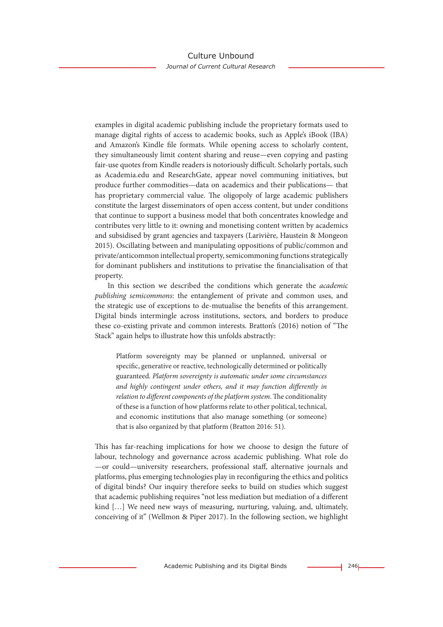examples in digital academic publishing include the proprietary formats used to manage digital rights of access to academic books, such as Apple's iBook (IBA) and Amazon's Kindle file formats. While opening access to scholarly content, they simultaneously limit content sharing and reuse—even copying and pasting fair-use quotes from Kindle readers is notoriously difficult. Scholarly portals, such as Academia.edu and ResearchGate, appear novel communing initiatives, but produce further commodities—data on academics and their publications— that has proprietary commercial value. The oligopoly of large academic publishers constitute the largest disseminators of open access content, but under conditions that continue to support a business model that both concentrates knowledge and contributes very little to it: owning and monetising content written by academics and subsidised by grant agencies and taxpayers (Larivière, Haustein & Mongeon 2015). Oscillating between and manipulating oppositions of public/common and private/anticommon intellectual property, semicommoning functions strategically for dominant publishers and institutions to privatise the financialisation of that property.

In this section we described the conditions which generate the *academic publishing semicommons*: the entanglement of private and common uses, and the strategic use of exceptions to de-mutualise the benefits of this arrangement. Digital binds intermingle across institutions, sectors, and borders to produce these co-existing private and common interests. Bratton's (2016) notion of "The Stack" again helps to illustrate how this unfolds abstractly:

Platform sovereignty may be planned or unplanned, universal or specific, generative or reactive, technologically determined or politically guaranteed. *Platform sovereignty is automatic under some circumstances and highly contingent under others, and it may function differently in relation to different components of the platform system*. The conditionality of these is a function of how platforms relate to other political, technical, and economic institutions that also manage something (or someone) that is also organized by that platform (Bratton 2016: 51).

This has far-reaching implications for how we choose to design the future of labour, technology and governance across academic publishing. What role do —or could—university researchers, professional staff, alternative journals and platforms, plus emerging technologies play in reconfiguring the ethics and politics of digital binds? Our inquiry therefore seeks to build on studies which suggest that academic publishing requires "not less mediation but mediation of a different kind [...] We need new ways of measuring, nurturing, valuing, and, ultimately, conceiving of it" (Wellmon & Piper 2017). In the following section, we highlight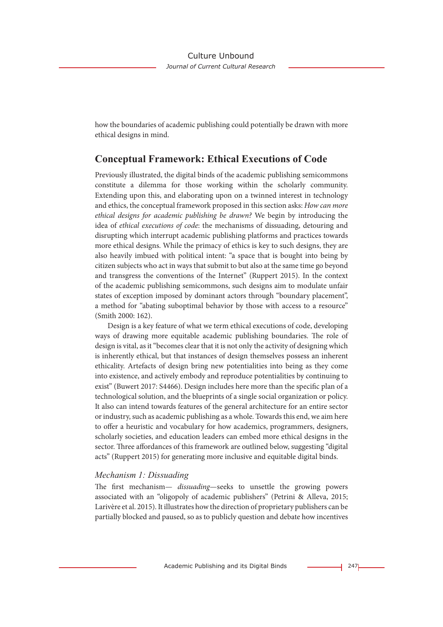how the boundaries of academic publishing could potentially be drawn with more ethical designs in mind.

# **Conceptual Framework: Ethical Executions of Code**

Previously illustrated, the digital binds of the academic publishing semicommons constitute a dilemma for those working within the scholarly community. Extending upon this, and elaborating upon on a twinned interest in technology and ethics, the conceptual framework proposed in this section asks: *How can more ethical designs for academic publishing be drawn?* We begin by introducing the idea of *ethical executions of code*: the mechanisms of dissuading, detouring and disrupting which interrupt academic publishing platforms and practices towards more ethical designs. While the primacy of ethics is key to such designs, they are also heavily imbued with political intent: "a space that is bought into being by citizen subjects who act in ways that submit to but also at the same time go beyond and transgress the conventions of the Internet" (Ruppert 2015). In the context of the academic publishing semicommons, such designs aim to modulate unfair states of exception imposed by dominant actors through "boundary placement", a method for "abating suboptimal behavior by those with access to a resource" (Smith 2000: 162).

Design is a key feature of what we term ethical executions of code, developing ways of drawing more equitable academic publishing boundaries. The role of design is vital, as it "becomes clear that it is not only the activity of designing which is inherently ethical, but that instances of design themselves possess an inherent ethicality. Artefacts of design bring new potentialities into being as they come into existence, and actively embody and reproduce potentialities by continuing to exist" (Buwert 2017: S4466). Design includes here more than the specific plan of a technological solution, and the blueprints of a single social organization or policy. It also can intend towards features of the general architecture for an entire sector or industry, such as academic publishing as a whole. Towards this end, we aim here to offer a heuristic and vocabulary for how academics, programmers, designers, scholarly societies, and education leaders can embed more ethical designs in the sector. Three affordances of this framework are outlined below, suggesting "digital acts" (Ruppert 2015) for generating more inclusive and equitable digital binds.

#### *Mechanism 1: Dissuading*

The first mechanism— *dissuading*—seeks to unsettle the growing powers associated with an "oligopoly of academic publishers" (Petrini & Alleva, 2015; Larivère et al. 2015). It illustrates how the direction of proprietary publishers can be partially blocked and paused, so as to publicly question and debate how incentives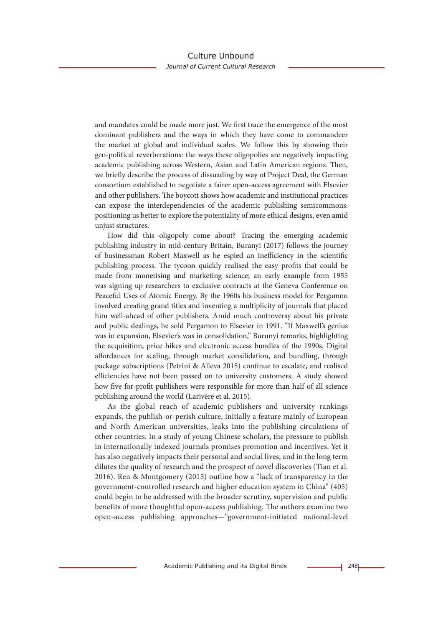and mandates could be made more just. We first trace the emergence of the most dominant publishers and the ways in which they have come to commandeer the market at global and individual scales. We follow this by showing their geo-political reverberations: the ways these oligopolies are negatively impacting academic publishing across Western, Asian and Latin American regions. Then, we briefly describe the process of dissuading by way of Project Deal, the German consortium established to negotiate a fairer open-access agreement with Elsevier and other publishers. The boycott shows how academic and institutional practices can expose the interdependencies of the academic publishing semicommons: positioning us better to explore the potentiality of more ethical designs, even amid unjust structures.

How did this oligopoly come about? Tracing the emerging academic publishing industry in mid-century Britain, Buranyi (2017) follows the journey of businessman Robert Maxwell as he espied an inefficiency in the scientific publishing process. The tycoon quickly realised the easy profits that could be made from monetising and marketing science; an early example from 1955 was signing up researchers to exclusive contracts at the Geneva Conference on Peaceful Uses of Atomic Energy. By the 1960s his business model for Pergamon involved creating grand titles and inventing a multiplicity of journals that placed him well-ahead of other publishers. Amid much controversy about his private and public dealings, he sold Pergamon to Elsevier in 1991. "If Maxwell's genius was in expansion, Elsevier's was in consolidation," Burunyi remarks, highlighting the acquisition, price hikes and electronic access bundles of the 1990s. Digital affordances for scaling, through market consilidation, and bundling, through package subscriptions (Petrini & Alleva 2015) continue to escalate, and realised efficiencies have not been passed on to university customers. A study showed how five for-profit publishers were responsible for more than half of all science publishing around the world (Larivère et al. 2015).

As the global reach of academic publishers and university rankings expands, the publish-or-perish culture, initially a feature mainly of European and North American universities, leaks into the publishing circulations of other countries. In a study of young Chinese scholars, the pressure to publish in internationally indexed journals promises promotion and incentives. Yet it has also negatively impacts their personal and social lives, and in the long term dilutes the quality of research and the prospect of novel discoveries (Tian et al. 2016). Ren & Montgomery (2015) outline how a "lack of transparency in the government-controlled research and higher education system in China" (405) could begin to be addressed with the broader scrutiny, supervision and public benefits of more thoughtful open-access publishing. The authors examine two open-access publishing approaches—"government-initiated national-level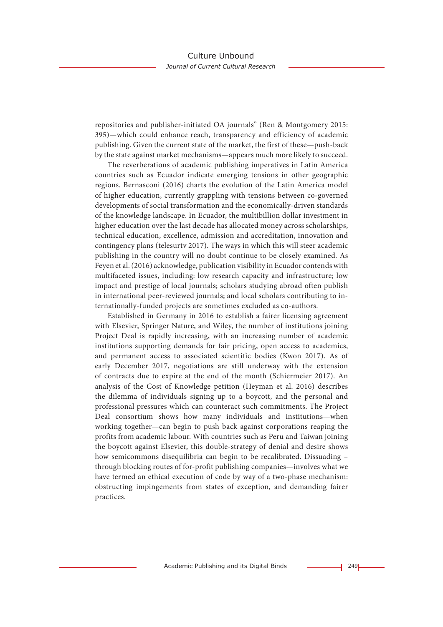repositories and publisher-initiated OA journals" (Ren & Montgomery 2015: 395)—which could enhance reach, transparency and efficiency of academic publishing. Given the current state of the market, the first of these—push-back by the state against market mechanisms—appears much more likely to succeed.

The reverberations of academic publishing imperatives in Latin America countries such as Ecuador indicate emerging tensions in other geographic regions. Bernasconi (2016) charts the evolution of the Latin America model of higher education, currently grappling with tensions between co-governed developments of social transformation and the economically-driven standards of the knowledge landscape. In Ecuador, the multibillion dollar investment in higher education over the last decade has allocated money across scholarships, technical education, excellence, admission and accreditation, innovation and contingency plans (telesurtv 2017). The ways in which this will steer academic publishing in the country will no doubt continue to be closely examined. As Feyen et al. (2016) acknowledge, publication visibility in Ecuador contends with multifaceted issues, including: low research capacity and infrastructure; low impact and prestige of local journals; scholars studying abroad often publish in international peer-reviewed journals; and local scholars contributing to internationally-funded projects are sometimes excluded as co-authors.

Established in Germany in 2016 to establish a fairer licensing agreement with Elsevier, Springer Nature, and Wiley, the number of institutions joining Project Deal is rapidly increasing, with an increasing number of academic institutions supporting demands for fair pricing, open access to academics, and permanent access to associated scientific bodies (Kwon 2017). As of early December 2017, negotiations are still underway with the extension of contracts due to expire at the end of the month (Schiermeier 2017). An analysis of the Cost of Knowledge petition (Heyman et al. 2016) describes the dilemma of individuals signing up to a boycott, and the personal and professional pressures which can counteract such commitments. The Project Deal consortium shows how many individuals and institutions—when working together—can begin to push back against corporations reaping the profits from academic labour. With countries such as Peru and Taiwan joining the boycott against Elsevier, this double-strategy of denial and desire shows how semicommons disequilibria can begin to be recalibrated. Dissuading – through blocking routes of for-profit publishing companies—involves what we have termed an ethical execution of code by way of a two-phase mechanism: obstructing impingements from states of exception, and demanding fairer practices.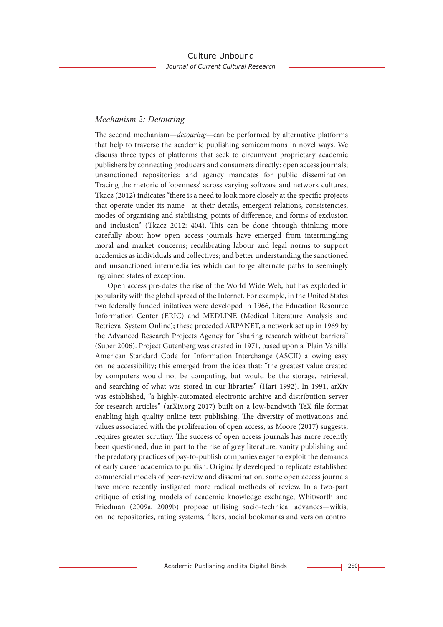## *Mechanism 2: Detouring*

The second mechanism—*detouring*—can be performed by alternative platforms that help to traverse the academic publishing semicommons in novel ways. We discuss three types of platforms that seek to circumvent proprietary academic publishers by connecting producers and consumers directly: open access journals; unsanctioned repositories; and agency mandates for public dissemination. Tracing the rhetoric of 'openness' across varying software and network cultures, Tkacz (2012) indicates "there is a need to look more closely at the specific projects that operate under its name—at their details, emergent relations, consistencies, modes of organising and stabilising, points of difference, and forms of exclusion and inclusion" (Tkacz 2012: 404). This can be done through thinking more carefully about how open access journals have emerged from intermingling moral and market concerns; recalibrating labour and legal norms to support academics as individuals and collectives; and better understanding the sanctioned and unsanctioned intermediaries which can forge alternate paths to seemingly ingrained states of exception.

Open access pre-dates the rise of the World Wide Web, but has exploded in popularity with the global spread of the Internet. For example, in the United States two federally funded initatives were developed in 1966, the Education Resource Information Center (ERIC) and MEDLINE (Medical Literature Analysis and Retrieval System Online); these preceded ARPANET, a network set up in 1969 by the Advanced Research Projects Agency for "sharing research without barriers" (Suber 2006). Project Gutenberg was created in 1971, based upon a 'Plain Vanilla' American Standard Code for Information Interchange (ASCII) allowing easy online accessibility; this emerged from the idea that: "the greatest value created by computers would not be computing, but would be the storage, retrieval, and searching of what was stored in our libraries" (Hart 1992). In 1991, arXiv was established, "a highly-automated electronic archive and distribution server for research articles" (arXiv.org 2017) built on a low-bandwith TeX file format enabling high quality online text publishing. The diversity of motivations and values associated with the proliferation of open access, as Moore (2017) suggests, requires greater scrutiny. The success of open access journals has more recently been questioned, due in part to the rise of grey literature, vanity publishing and the predatory practices of pay-to-publish companies eager to exploit the demands of early career academics to publish. Originally developed to replicate established commercial models of peer-review and dissemination, some open access journals have more recently instigated more radical methods of review. In a two-part critique of existing models of academic knowledge exchange, Whitworth and Friedman (2009a, 2009b) propose utilising socio-technical advances—wikis, online repositories, rating systems, filters, social bookmarks and version control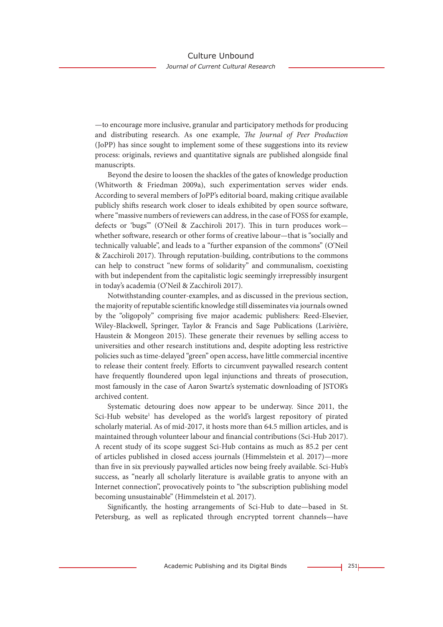—to encourage more inclusive, granular and participatory methods for producing and distributing research. As one example, *The Journal of Peer Production* (JoPP) has since sought to implement some of these suggestions into its review process: originals, reviews and quantitative signals are published alongside final manuscripts.

Beyond the desire to loosen the shackles of the gates of knowledge production (Whitworth & Friedman 2009a), such experimentation serves wider ends. According to several members of JoPP's editorial board, making critique available publicly shifts research work closer to ideals exhibited by open source software, where "massive numbers of reviewers can address, in the case of FOSS for example, defects or 'bugs'" (O'Neil & Zacchiroli 2017). This in turn produces work whether software, research or other forms of creative labour—that is "socially and technically valuable", and leads to a "further expansion of the commons" (O'Neil & Zacchiroli 2017). Through reputation-building, contributions to the commons can help to construct "new forms of solidarity" and communalism, coexisting with but independent from the capitalistic logic seemingly irrepressibly insurgent in today's academia (O'Neil & Zacchiroli 2017).

Notwithstanding counter-examples, and as discussed in the previous section, the majority of reputable scientific knowledge still disseminates via journals owned by the "oligopoly" comprising five major academic publishers: Reed-Elsevier, Wiley-Blackwell, Springer, Taylor & Francis and Sage Publications (Larivière, Haustein & Mongeon 2015). These generate their revenues by selling access to universities and other research institutions and, despite adopting less restrictive policies such as time-delayed "green" open access, have little commercial incentive to release their content freely. Efforts to circumvent paywalled research content have frequently floundered upon legal injunctions and threats of prosecution, most famously in the case of Aaron Swartz's systematic downloading of JSTOR's archived content.

Systematic detouring does now appear to be underway. Since 2011, the Sci-Hub website<sup>1</sup> has developed as the world's largest repository of pirated scholarly material. As of mid-2017, it hosts more than 64.5 million articles, and is maintained through volunteer labour and financial contributions (Sci-Hub 2017). A recent study of its scope suggest Sci-Hub contains as much as 85.2 per cent of articles published in closed access journals (Himmelstein et al. 2017)—more than five in six previously paywalled articles now being freely available. Sci-Hub's success, as "nearly all scholarly literature is available gratis to anyone with an Internet connection", provocatively points to "the subscription publishing model becoming unsustainable" (Himmelstein et al. 2017).

Significantly, the hosting arrangements of Sci-Hub to date—based in St. Petersburg, as well as replicated through encrypted torrent channels—have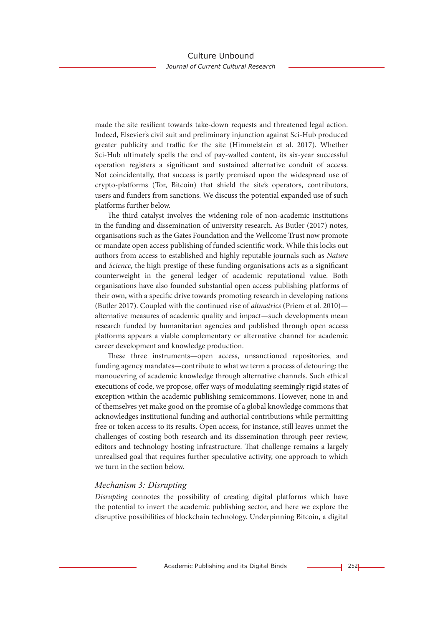made the site resilient towards take-down requests and threatened legal action. Indeed, Elsevier's civil suit and preliminary injunction against Sci-Hub produced greater publicity and traffic for the site (Himmelstein et al. 2017). Whether Sci-Hub ultimately spells the end of pay-walled content, its six-year successful operation registers a significant and sustained alternative conduit of access. Not coincidentally, that success is partly premised upon the widespread use of crypto-platforms (Tor, Bitcoin) that shield the site's operators, contributors, users and funders from sanctions. We discuss the potential expanded use of such platforms further below.

The third catalyst involves the widening role of non-academic institutions in the funding and dissemination of university research. As Butler (2017) notes, organisations such as the Gates Foundation and the Wellcome Trust now promote or mandate open access publishing of funded scientific work. While this locks out authors from access to established and highly reputable journals such as *Nature* and *Science*, the high prestige of these funding organisations acts as a significant counterweight in the general ledger of academic reputational value. Both organisations have also founded substantial open access publishing platforms of their own, with a specific drive towards promoting research in developing nations (Butler 2017). Coupled with the continued rise of *altmetrics* (Priem et al. 2010) alternative measures of academic quality and impact—such developments mean research funded by humanitarian agencies and published through open access platforms appears a viable complementary or alternative channel for academic career development and knowledge production.

These three instruments—open access, unsanctioned repositories, and funding agency mandates—contribute to what we term a process of detouring: the manouevring of academic knowledge through alternative channels. Such ethical executions of code, we propose, offer ways of modulating seemingly rigid states of exception within the academic publishing semicommons. However, none in and of themselves yet make good on the promise of a global knowledge commons that acknowledges institutional funding and authorial contributions while permitting free or token access to its results. Open access, for instance, still leaves unmet the challenges of costing both research and its dissemination through peer review, editors and technology hosting infrastructure. That challenge remains a largely unrealised goal that requires further speculative activity, one approach to which we turn in the section below.

## *Mechanism 3: Disrupting*

*Disrupting* connotes the possibility of creating digital platforms which have the potential to invert the academic publishing sector, and here we explore the disruptive possibilities of blockchain technology. Underpinning Bitcoin, a digital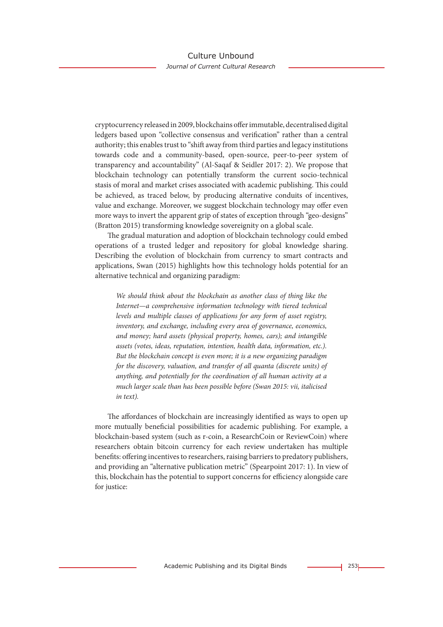cryptocurrency released in 2009, blockchains offer immutable, decentralised digital ledgers based upon "collective consensus and verification" rather than a central authority; this enables trust to "shift away from third parties and legacy institutions towards code and a community-based, open-source, peer-to-peer system of transparency and accountability" (Al-Saqaf & Seidler 2017: 2). We propose that blockchain technology can potentially transform the current socio-technical stasis of moral and market crises associated with academic publishing. This could be achieved, as traced below, by producing alternative conduits of incentives, value and exchange. Moreover, we suggest blockchain technology may offer even more ways to invert the apparent grip of states of exception through "geo-designs" (Bratton 2015) transforming knowledge sovereignity on a global scale.

The gradual maturation and adoption of blockchain technology could embed operations of a trusted ledger and repository for global knowledge sharing. Describing the evolution of blockchain from currency to smart contracts and applications, Swan (2015) highlights how this technology holds potential for an alternative technical and organizing paradigm:

*We should think about the blockchain as another class of thing like the Internet—a comprehensive information technology with tiered technical levels and multiple classes of applications for any form of asset registry, inventory, and exchange, including every area of governance, economics, and money; hard assets (physical property, homes, cars); and intangible assets (votes, ideas, reputation, intention, health data, information, etc.). But the blockchain concept is even more; it is a new organizing paradigm for the discovery, valuation, and transfer of all quanta (discrete units) of anything, and potentially for the coordination of all human activity at a much larger scale than has been possible before (Swan 2015: vii, italicised in text).*

The affordances of blockchain are increasingly identified as ways to open up more mutually beneficial possibilities for academic publishing. For example, a blockchain-based system (such as r-coin, a ResearchCoin or ReviewCoin) where researchers obtain bitcoin currency for each review undertaken has multiple benefits: offering incentives to researchers, raising barriers to predatory publishers, and providing an "alternative publication metric" (Spearpoint 2017: 1). In view of this, blockchain has the potential to support concerns for efficiency alongside care for justice: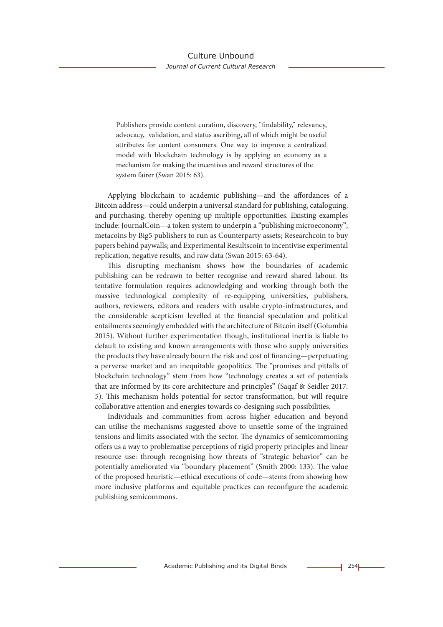Publishers provide content curation, discovery, "findability," relevancy, advocacy, validation, and status ascribing, all of which might be useful attributes for content consumers. One way to improve a centralized model with blockchain technology is by applying an economy as a mechanism for making the incentives and reward structures of the system fairer (Swan 2015: 63).

Applying blockchain to academic publishing—and the affordances of a Bitcoin address—could underpin a universal standard for publishing, cataloguing, and purchasing, thereby opening up multiple opportunities. Existing examples include: JournalCoin—a token system to underpin a "publishing microeconomy"; metacoins by Big5 publishers to run as Counterparty assets; Researchcoin to buy papers behind paywalls; and Experimental Resultscoin to incentivise experimental replication, negative results, and raw data (Swan 2015: 63-64).

This disrupting mechanism shows how the boundaries of academic publishing can be redrawn to better recognise and reward shared labour. Its tentative formulation requires acknowledging and working through both the massive technological complexity of re-equipping universities, publishers, authors, reviewers, editors and readers with usable crypto-infrastructures, and the considerable scepticism levelled at the financial speculation and political entailments seemingly embedded with the architecture of Bitcoin itself (Golumbia 2015). Without further experimentation though, institutional inertia is liable to default to existing and known arrangements with those who supply universities the products they have already bourn the risk and cost of financing—perpetuating a perverse market and an inequitable geopolitics. The "promises and pitfalls of blockchain technology" stem from how "technology creates a set of potentials that are informed by its core architecture and principles" (Saqaf & Seidler 2017: 5). This mechanism holds potential for sector transformation, but will require collaborative attention and energies towards co-designing such possibilities.

Individuals and communities from across higher education and beyond can utilise the mechanisms suggested above to unsettle some of the ingrained tensions and limits associated with the sector. The dynamics of semicommoning offers us a way to problematise perceptions of rigid property principles and linear resource use: through recognising how threats of "strategic behavior" can be potentially ameliorated via "boundary placement" (Smith 2000: 133). The value of the proposed heuristic—ethical executions of code—stems from showing how more inclusive platforms and equitable practices can reconfigure the academic publishing semicommons.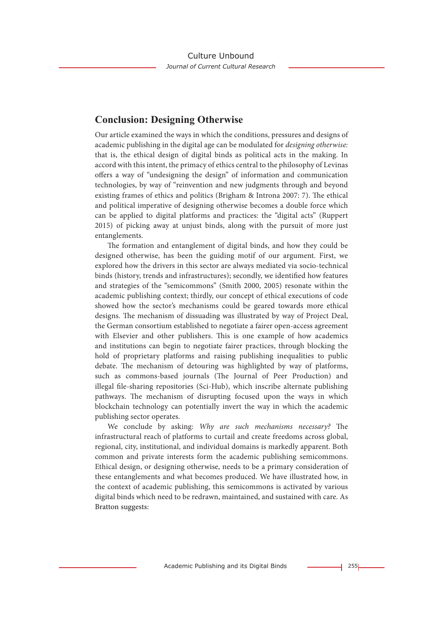# **Conclusion: Designing Otherwise**

Our article examined the ways in which the conditions, pressures and designs of academic publishing in the digital age can be modulated for *designing otherwise:* that is, the ethical design of digital binds as political acts in the making. In accord with this intent, the primacy of ethics central to the philosophy of Levinas offers a way of "undesigning the design" of information and communication technologies, by way of "reinvention and new judgments through and beyond existing frames of ethics and politics (Brigham & Introna 2007: 7). The ethical and political imperative of designing otherwise becomes a double force which can be applied to digital platforms and practices: the "digital acts" (Ruppert 2015) of picking away at unjust binds, along with the pursuit of more just entanglements.

The formation and entanglement of digital binds, and how they could be designed otherwise, has been the guiding motif of our argument. First, we explored how the drivers in this sector are always mediated via socio-technical binds (history, trends and infrastructures); secondly, we identified how features and strategies of the "semicommons" (Smith 2000, 2005) resonate within the academic publishing context; thirdly, our concept of ethical executions of code showed how the sector's mechanisms could be geared towards more ethical designs. The mechanism of dissuading was illustrated by way of Project Deal, the German consortium established to negotiate a fairer open-access agreement with Elsevier and other publishers. This is one example of how academics and institutions can begin to negotiate fairer practices, through blocking the hold of proprietary platforms and raising publishing inequalities to public debate. The mechanism of detouring was highlighted by way of platforms, such as commons-based journals (The Journal of Peer Production) and illegal file-sharing repositories (Sci-Hub), which inscribe alternate publishing pathways. The mechanism of disrupting focused upon the ways in which blockchain technology can potentially invert the way in which the academic publishing sector operates.

We conclude by asking: *Why are such mechanisms necessary?* The infrastructural reach of platforms to curtail and create freedoms across global, regional, city, institutional, and individual domains is markedly apparent. Both common and private interests form the academic publishing semicommons. Ethical design, or designing otherwise, needs to be a primary consideration of these entanglements and what becomes produced. We have illustrated how, in the context of academic publishing, this semicommons is activated by various digital binds which need to be redrawn, maintained, and sustained with care. As Bratton suggests: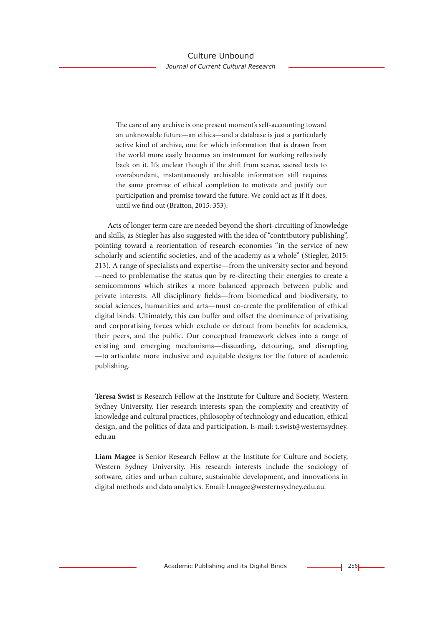The care of any archive is one present moment's self-accounting toward an unknowable future—an ethics—and a database is just a particularly active kind of archive, one for which information that is drawn from the world more easily becomes an instrument for working reflexively back on it. It's unclear though if the shift from scarce, sacred texts to overabundant, instantaneously archivable information still requires the same promise of ethical completion to motivate and justify our participation and promise toward the future. We could act as if it does, until we find out (Bratton, 2015: 353).

Acts of longer term care are needed beyond the short-circuiting of knowledge and skills, as Stiegler has also suggested with the idea of "contributory publishing", pointing toward a reorientation of research economies "in the service of new scholarly and scientific societies, and of the academy as a whole" (Stiegler, 2015: 213). A range of specialists and expertise—from the university sector and beyond —need to problematise the status quo by re-directing their energies to create a semicommons which strikes a more balanced approach between public and private interests. All disciplinary fields—from biomedical and biodiversity, to social sciences, humanities and arts—must co-create the proliferation of ethical digital binds. Ultimately, this can buffer and offset the dominance of privatising and corporatising forces which exclude or detract from benefits for academics, their peers, and the public. Our conceptual framework delves into a range of existing and emerging mechanisms—dissuading, detouring, and disrupting —to articulate more inclusive and equitable designs for the future of academic publishing.

**Teresa Swist** is Research Fellow at the Institute for Culture and Society, Western Sydney University. Her research interests span the complexity and creativity of knowledge and cultural practices, philosophy of technology and education, ethical design, and the politics of data and participation. E-mail: t.swist@westernsydney. edu.au

**Liam Magee** is Senior Research Fellow at the Institute for Culture and Society, Western Sydney University. His research interests include the sociology of software, cities and urban culture, sustainable development, and innovations in digital methods and data analytics. Email: l.magee@westernsydney.edu.au.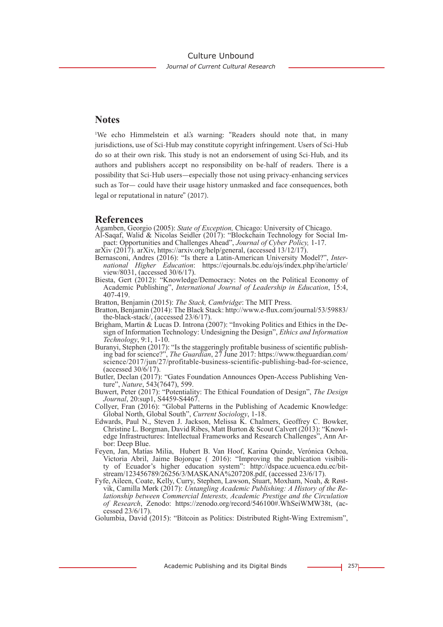# **Notes**

<sup>1</sup>We echo Himmelstein et al's warning: "Readers should note that, in many jurisdictions, use of Sci-Hub may constitute copyright infringement. Users of Sci-Hub do so at their own risk. This study is not an endorsement of using Sci-Hub, and its authors and publishers accept no responsibility on be-half of readers. There is a possibility that Sci-Hub users—especially those not using privacy-enhancing services such as Tor— could have their usage history unmasked and face consequences, both legal or reputational in nature" (2017).

## **References**

- Agamben, Georgio (2005): *State of Exception,* Chicago: University of Chicago.
- Al-Saqaf, Walid & Nicolas Seidler (2017): "Blockchain Technology for Social Impact: Opportunities and Challenges Ahead", *Journal of Cyber Policy,* 1-17.
- arXiv (2017). arXiv, https://arxiv.org/help/general, (accessed  $13/12/17$ ).
- Bernasconi, Andres (2016): "Is there a Latin-American University Model?", *International Higher Education*: https://ejournals.bc.edu/ojs/index.php/ihe/article/ view/8031, (accessed 30/6/17).
- Biesta, Gert (2012): "Knowledge/Democracy: Notes on the Political Economy of Academic Publishing", *International Journal of Leadership in Education*, 15:4, 407-419.
- Bratton, Benjamin (2015): *The Stack, Cambridge*: The MIT Press.
- Bratton, Benjamin (2014): The Black Stack: http://www.e-flux.com/journal/53/59883/ the-black-stack/, (accessed 23/6/17).
- Brigham, Martin & Lucas D. Introna (2007): "Invoking Politics and Ethics in the Design of Information Technology: Undesigning the Design", *Ethics and Information Technology*, 9:1, 1-10.
- Buranyi, Stephen (2017): "Is the staggeringly profitable business of scientific publishing bad for science?", *The Guardian*, 27 June 2017: https://www.theguardian.com/ science/2017/jun/27/profitable-business-scientific-publishing-bad-for-science, (accessed  $30/\sqrt{6}/17$ ).
- Butler, Declan (2017): "Gates Foundation Announces Open-Access Publishing Venture", *Nature*, 543(7647), 599.
- Buwert, Peter (2017): "Potentiality: The Ethical Foundation of Design", *The Design Journal*, 20:sup1, S4459-S4467.
- Collyer, Fran (2016): "Global Patterns in the Publishing of Academic Knowledge: Global North, Global South", *Current Sociology*, 1-18.
- Edwards, Paul N., Steven J. Jackson, Melissa K. Chalmers, Geoffrey C. Bowker, Christine L. Borgman, David Ribes, Matt Burton & Scout Calvert (2013): "Knowl- edge Infrastructures: Intellectual Frameworks and Research Challenges", Ann Ar- bor: Deep Blue.
- Feyen, Jan, Matías Milia, Hubert B. Van Hoof, Karina Quinde, Verónica Ochoa, Victoria Abril, Jaime Bojorque ( 2016): "Improving the publication visibility of Ecuador's higher education system": http://dspace.ucuenca.edu.ec/bit- stream/123456789/26256/3/MASKANA%207208.pdf, (accessed 23/6/17).
- Fyfe, Aileen, Coate, Kelly, Curry, Stephen, Lawson, Stuart, Moxham, Noah, & Røstvik, Camilla Mørk (2017): Untangling Academic Publishing: A History of the Relationship between Commercial Interests, Academic Prestige and th *of Research*, Zenodo: https://zenodo.org/record/546100#.WhSeiWMW38t, (ac-<br>cessed 23/6/17).

Golumbia, David (2015): "Bitcoin as Politics: Distributed Right-Wing Extremism",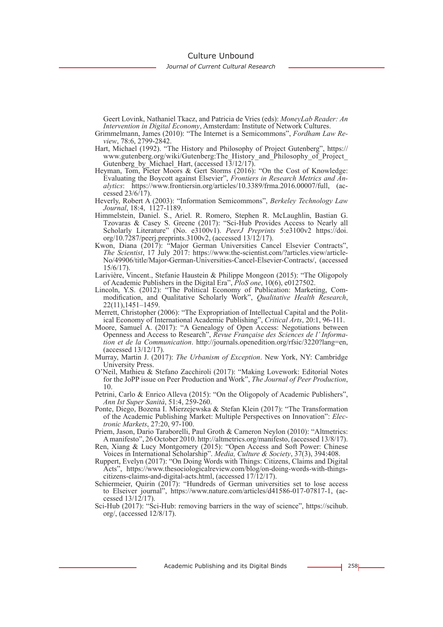Culture Unbound

*Journal of Current Cultural Research*

Geert Lovink, Nathaniel Tkacz, and Patricia de Vries (eds): *MoneyLab Reader: An Intervention in Digital Economy*, Amsterdam: Institute of Network Cultures.

Grimmelmann, James (2010): "The Internet is a Semicommons", *Fordham Law Review*, 78:6, 2799-2842.

- Hart, Michael (1992). "The History and Philosophy of Project Gutenberg", https:// www.gutenberg.org/wiki/Gutenberg:The\_History\_and\_Philosophy\_of\_Project\_ Gutenberg\_by\_Michael\_Hart, (accessed 13/12/17).
- Heyman, Tom, Pieter Moors & Gert Storms (2016): "On the Cost of Knowledge: Evaluating the Boycott against Elsevier", *Frontiers in Research Metrics and Analytics*: https://www.frontiersin.org/articles/10.3389/frma.2016.00007/full, (accessed 23/6/17).
- Heverly, Robert A (2003): "Information Semicommons", *Berkeley Technology Law Journal*, 18:4, 1127-1189.
- Himmelstein, Daniel. S., Ariel. R. Romero, Stephen R. McLaughlin, Bastian G. Tzovaras & Casey S. Greene (2017): "Sci-Hub Provides Access to Nearly all Scholarly Literature" (No. e3100v1). *PeerJ Preprints* 5:e3100v2 https://doi. org/10.7287/peerj.preprints.3100v2, (accessed 13/12/17).
- Kwon, Diana (2017): "Major German Universities Cancel Elsevier Contracts", *The Scientist*, 17 July 2017: https://www.the-scientist.com/?articles.view/article- No/49906/title/Major-German-Universities-Cancel-Elsevier-Contracts/, (accessed 15/6/17).
- Larivière, Vincent., Stefanie Haustein & Philippe Mongeon (2015): "The Oligopoly of Academic Publishers in the Digital Era", *PloS one*, 10(6), e0127502.
- modification, and Qualitative Scholarly Work", *Qualitative Health Research*, 22(11),1451–1459.<br>Merrett, Christopher (2006): "The Expropriation of Intellectual Capital and the Polit-
- ical Economy of International Academic Publishing", *Critical Arts*, 20:1, 96-111.
- Moore, Samuel A. (2017): "A Genealogy of Open Access: Negotiations between Openness and Access to Research", *Revue Française des Sciences de l' Informa- tion et de la Communication*. http://journals.openedition.org/rfsic/3220?lang=en, (accessed 13/12/17).
- Murray, Martin J. (2017): *The Urbanism of Exception*. New York, NY: Cambridge University Press.
- O'Neil, Mathieu & Stefano Zacchiroli (2017): "Making Lovework: Editorial Notes for the JoPP issue on Peer Production and Work", *The Journal of Peer Production*, 10.
- Petrini, Carlo & Enrico Alleva (2015): "On the Oligopoly of Academic Publishers", *Ann Ist Super Sanità*, 51:4, 259-260.
- Ponte, Diego, Bozena I. Mierzejewska & Stefan Klein (2017): "The Transformation of the Academic Publishing Market: Multiple Perspectives on Innovation": *Elec- tronic Markets*, 27:20, 97-100.
- Priem, Jason, Dario Taraborelli, Paul Groth & Cameron Neylon (2010): "Altmetrics: A manifesto", 26 October 2010. http://altmetrics.org/manifesto, (accessed 13/8/17).
- Ren, Xiang & Lucy Montgomery (2015): "Open Access and Soft Power: Chinese Voices in International Scholarship". *Media, Culture & Society*, 37(3), 394:408.
- Ruppert, Evelyn (2017): "On Doing Words with Things: Citizens, Claims and Digital Acts", https://www.thesociologicalreview.com/blog/on-doing-words-with-thingscitizens-claims-and-digital-acts.html, (accessed 17/12/17).
- Schiermeier, Quirin (2017): "Hundreds of German universities set to lose access to Elseiver journal", https://www.nature.com/articles/d41586-017-07817-1, (accessed 13/12/17).
- Sci-Hub (2017): "Sci-Hub: removing barriers in the way of science", https://scihub. org/, (accessed 12/8/17).